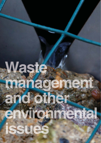# Waste manage añd othe environne F SHOG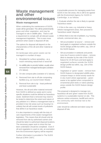# **Waste management and other environmental issues**

### **Waste management**

When undertaking the maintenance of SUDS, waste will be generated. This will be predominantly grass and other vegetation, and may be managed on site in wildlife piles. There is still a requirement to comply with all relevant waste management legislation. This is even more pertinent when waste is disposed off site.

The options for disposal will depend on the characteristics of the silt and other material at each site.

On landscape sites green waste can be managed in a number of ways:

- 1. Shredded for surface spreading as a mulch mimicking natural leaf or wood fall
- 2. As wildlife piles to provide habitat, usually when removed from managed landscapes (variation of 1/ above).
- 3. On-site compost piles (variation of 1/ above).
- 4. Removed from site to off-site composting facilities (e.g. as Council Green Waste)
- 5. Removal from site to tip least preferred and least sustainable

However, the silt and other material removed from SUDS is defined as waste and in some specific situations could be defined as hazardous waste. Sediment that is removed may need to be tested to determine the extent and nature of any pollution in it. Where a management train is provided in low risk areas such as housing it is unlikely that silt will contain levels of pollutants that define it as hazardous waste.

It is also important to comply with the duty of care requirements of the waste management legislation. This means that silt should only be removed from site by authorised carriers and should be taken to authorised disposal locations. The necessary paper work to show this has been undertaken should be completed. Even if silt and vegetation is used on site, an exemption from the Environment Agency will be required.

Further information is provided in The SUDS Manual (CIRIA C697).

A practicable process for managing waste from SUDS in low risk areas, this is still to be agreed with the Environment Agency for SUDS in Cambridge, is as follows:

1. Evaluate whether the site is likely to operate 'hazardous waste'.

2. If this is the case, e.g. industrial or heavy vehicle management areas, then proceed to 'hazardous waste' disposal.

3. Where there is low risk of pollution, e.g. housing, schools, commercial sites, etc.,

- Silt accumulation 'at source' remove and land-apply to vegetated surfaces outside the SUDS design profile but within, say, 10m of the SUDS feature.
- Silt accumulation in wetlands and ponds (very low if source control in place – remove, allow to dewater by the side of the SUDS feature for 24-48 hours and land-apply to vegetated surfaces outside the SUDS design profile but within, say, 10m of the SUDS feature.
- Vegetation or 'green' waste remove from SUDS feature to designated wildlife piles, compost heaps or shred woody waste for in-situ mulch where appropriate – green waste to be applied when composted to ornamental plant beds or native planting areas outside the SUDS feature design profile.

This proposal is designed to manage nonhazardous silt and 'green' waste from SUDS systems in a sustainable manner on site. This reduces carbon emissions, landfill and cost to the community with minimal risk to the environment.

Litter should be collected and taken away for disposal off site.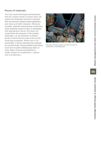# **Reuse of materials**

The City Council will require demonstration that the creation ponds or basins does not require the wholesale removal of materials from site (with the resultant waste implications and noise and traffic impacts). Wherever possible, materials arising during construction works should be reused on site in a sustainable and appropriate manner that does not compromise the character of the existing landscape, e.g. the formation of shallow bunds or berms that form part of the overall landscape proposals. Where this is not practicable, it will be expected that materials are reused locally. Place partially-buried dead wood and recycled rubble/paving slabs on lower slopes of ponds and wetlands to create refuges for amphibians, reptiles and invertebrates.



*Recycled concrete used in a control structure in Cambourne, Cambridgeshire*